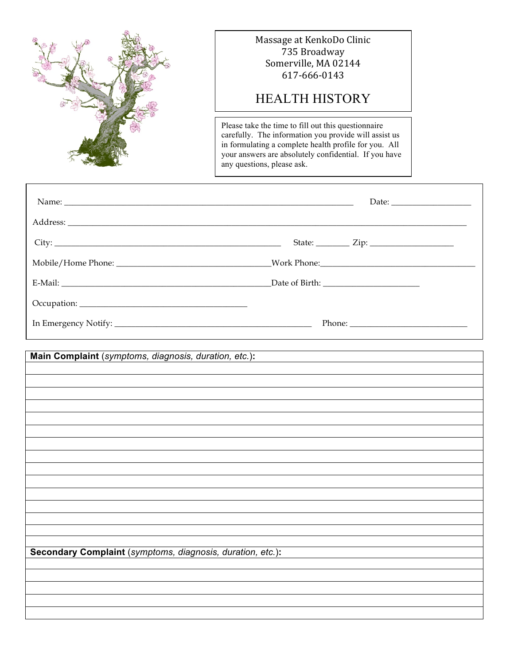

### Massage at KenkoDo Clinic 735 Broadway Somerville, MA 02144 617-666-0143

# HEALTH HISTORY

Please take the time to fill out this questionnaire carefully. The information you provide will assist us in formulating a complete health profile for you. All your answers are absolutely confidential. If you have any questions, please ask.

| Main Complaint (symptoms, diagnosis, duration, etc.):      |
|------------------------------------------------------------|
|                                                            |
|                                                            |
|                                                            |
|                                                            |
|                                                            |
|                                                            |
|                                                            |
|                                                            |
|                                                            |
|                                                            |
|                                                            |
|                                                            |
|                                                            |
|                                                            |
|                                                            |
| Secondary Complaint (symptoms, diagnosis, duration, etc.): |
|                                                            |
|                                                            |
|                                                            |
|                                                            |
|                                                            |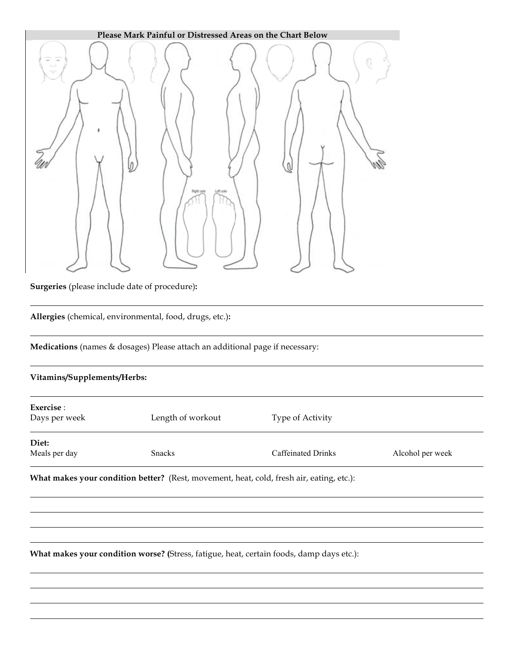

**Allergies** (chemical, environmental, food, drugs, etc.)**:**

**Medications** (names & dosages) Please attach an additional page if necessary:

### **Vitamins/Supplements/Herbs:**

| Exercise :<br>Days per week | Length of workout | Type of Activity   |                  |
|-----------------------------|-------------------|--------------------|------------------|
| Diet:<br>Meals per day      | <b>Snacks</b>     | Caffeinated Drinks | Alcohol per week |

**What makes your condition better?** (Rest, movement, heat, cold, fresh air, eating, etc.):

**What makes your condition worse? (**Stress, fatigue, heat, certain foods, damp days etc.):